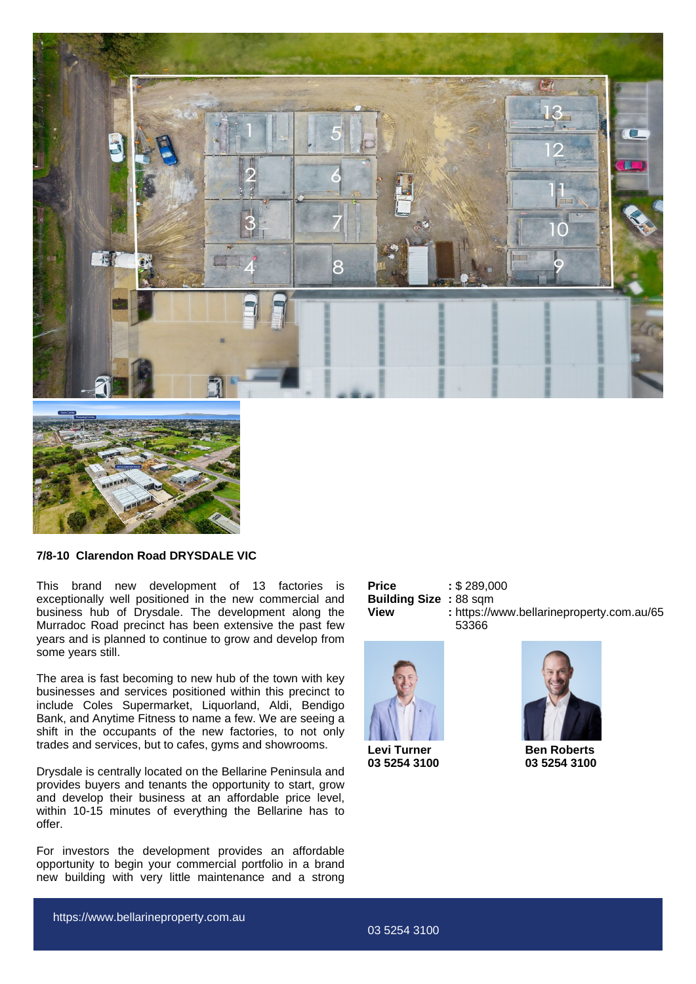



## **7/8-10 Clarendon Road DRYSDALE VIC**

This brand new development of 13 factories is exceptionally well positioned in the new commercial and business hub of Drysdale. The development along the Murradoc Road precinct has been extensive the past few years and is planned to continue to grow and develop from some years still.

The area is fast becoming to new hub of the town with key businesses and services positioned within this precinct to include Coles Supermarket, Liquorland, Aldi, Bendigo Bank, and Anytime Fitness to name a few. We are seeing a shift in the occupants of the new factories, to not only trades and services, but to cafes, gyms and showrooms.

Drysdale is centrally located on the Bellarine Peninsula and provides buyers and tenants the opportunity to start, grow and develop their business at an affordable price level, within 10-15 minutes of everything the Bellarine has to offer.

For investors the development provides an affordable opportunity to begin your commercial portfolio in a brand new building with very little maintenance and a strong

| Price                        | : \$289,000                               |
|------------------------------|-------------------------------------------|
| <b>Building Size: 88 sqm</b> |                                           |
| View                         | : https://www.bellarineproperty.com.au/65 |
|                              | 53366                                     |



**Levi Turner 03 5254 3100**



**Ben Roberts 03 5254 3100**